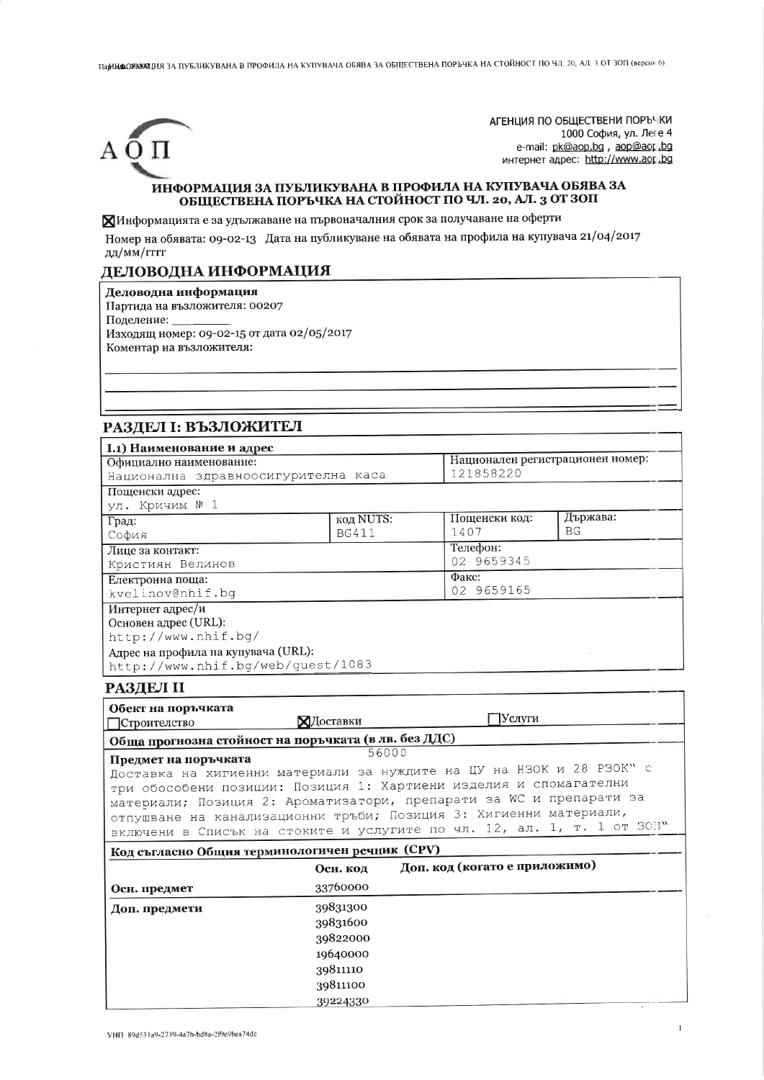ПарНИДАОЛЮЮЩИЯ ЗА ПУБЛИКУВАНА В ПРОФИЛА НА КУПУВАЧА ОБЯВА ЗА ОБЩЕСТВЕНА ПОРЪЧКА НА СТОЙНОСТ ПО ЧЛ. 20, АЛ. 3 ОТ ЗОП (версия 6)



АГЕНЦИЯ ПО ОБЩЕСТВЕНИ ПОРЪЧКИ 1000 София, ул. Леге 4 e-mail: pk@aop.bg , aop@aor.bg интернет адрес: http://www.aor.bg

#### ИНФОРМАЦИЯ ЗА ПУБЛИКУВАНА В ПРОФИЛА НА КУПУВАЧА ОБЯВА ЗА ОБЩЕСТВЕНА ПОРЪЧКА НА СТОЙНОСТ ПО ЧЛ. 20, АЛ. 3 ОТ ЗОП

ХИнформацията е за удължаване на първоначалния срок за получаване на оферти

Номер на обявата: 09-02-13 Дата на публикуване на обявата на профила на купувача 21/04/2017 дд/мм/гггг

### ДЕЛОВОДНА ИНФОРМАЦИЯ

Деловодна информация

Партида на възложителя: 00207

Поделение:

Изходящ номер: 09-02-15 от дата 02/05/2017 Коментар на възложителя:

## РАЗДЕЛ І: ВЪЗЛОЖИТЕЛ

| <b>I.1) Наименование и адрес</b>                                                             |                  |                               |                                  |  |
|----------------------------------------------------------------------------------------------|------------------|-------------------------------|----------------------------------|--|
| Официално наименование:                                                                      |                  |                               | Национален регистрационен номер: |  |
| Национална здравноосигурителна каса                                                          |                  |                               | 121858220                        |  |
| Пощенски адрес:                                                                              |                  |                               |                                  |  |
| ул. Кричим № 1                                                                               |                  |                               |                                  |  |
| Град:                                                                                        | <b>код NUTS:</b> | Пощенски код:                 | Държава:                         |  |
| София                                                                                        | <b>BG411</b>     | 1407                          | BG                               |  |
| Лице за контакт:                                                                             |                  | Телефон:                      |                                  |  |
| Кристиян Велинов                                                                             |                  |                               | 02 9659345                       |  |
| Електронна поща:                                                                             |                  |                               | Факс:                            |  |
| kvelinov@nhif.bg                                                                             |                  |                               | 02 9659165                       |  |
| Интернет адрес/и                                                                             |                  |                               |                                  |  |
| Основен адрес (URL):                                                                         |                  |                               |                                  |  |
| http://www.nhif.bg/                                                                          |                  |                               |                                  |  |
| Адрес на профила на купувача (URL):                                                          |                  |                               |                                  |  |
| http://www.nhif.bg/web/quest/1083                                                            |                  |                               |                                  |  |
| <b>РАЗДЕЛ II</b>                                                                             |                  |                               |                                  |  |
| Обект на поръчката                                                                           |                  |                               |                                  |  |
| ТСтроителство                                                                                | ХЛоставки        | Услуги                        |                                  |  |
| Обща прогнозна стойност на поръчката (в лв. без ДДС)                                         |                  |                               |                                  |  |
|                                                                                              | 56000            |                               |                                  |  |
| Предмет на поръчката<br>Доставка на хигиенни материали за нуждите на ЦУ на НЗОК и 28 РЗОК" с |                  |                               |                                  |  |
| три обособени позиции: Позиция 1: Хартиени изделия и спомагателни                            |                  |                               |                                  |  |
| материали; Позиция 2: Ароматизатори, препарати за WC и препарати за                          |                  |                               |                                  |  |
| отпушване на канализационни тръби; Позиция 3: Хигиенни материали,                            |                  |                               |                                  |  |
| включени в Списък на стоките и услугите по чл. 12, ал. 1, т. 1 от ЗОП"                       |                  |                               |                                  |  |
|                                                                                              |                  |                               |                                  |  |
| Код съгласно Общия терминологичен речник (CPV)                                               |                  |                               |                                  |  |
|                                                                                              | Осн. код         | Доп. код (когато е приложимо) |                                  |  |
| Осн. предмет                                                                                 | 33760000         |                               |                                  |  |
| Доп. предмети                                                                                | 39831300         |                               |                                  |  |
|                                                                                              | 39831600         |                               |                                  |  |
|                                                                                              | 39822000         |                               |                                  |  |
|                                                                                              | 19640000         |                               |                                  |  |
|                                                                                              | 39811110         |                               |                                  |  |
|                                                                                              |                  |                               |                                  |  |

39811100 39224330